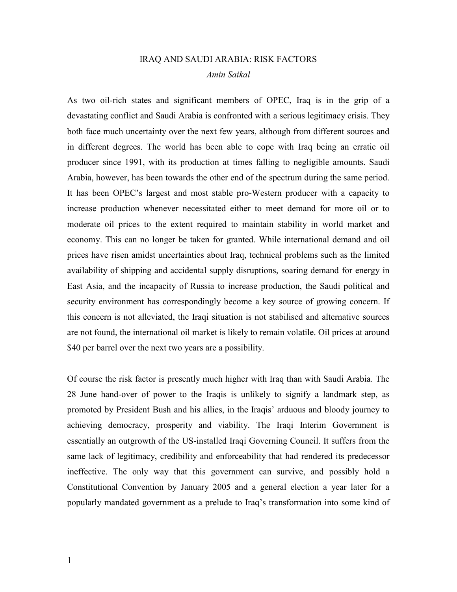## IRAQ AND SAUDI ARABIA: RISK FACTORS *Amin Saikal*

As two oil-rich states and significant members of OPEC, Iraq is in the grip of a devastating conflict and Saudi Arabia is confronted with a serious legitimacy crisis. They both face much uncertainty over the next few years, although from different sources and in different degrees. The world has been able to cope with Iraq being an erratic oil producer since 1991, with its production at times falling to negligible amounts. Saudi Arabia, however, has been towards the other end of the spectrum during the same period. It has been OPEC's largest and most stable pro-Western producer with a capacity to increase production whenever necessitated either to meet demand for more oil or to moderate oil prices to the extent required to maintain stability in world market and economy. This can no longer be taken for granted. While international demand and oil prices have risen amidst uncertainties about Iraq, technical problems such as the limited availability of shipping and accidental supply disruptions, soaring demand for energy in East Asia, and the incapacity of Russia to increase production, the Saudi political and security environment has correspondingly become a key source of growing concern. If this concern is not alleviated, the Iraqi situation is not stabilised and alternative sources are not found, the international oil market is likely to remain volatile. Oil prices at around \$40 per barrel over the next two years are a possibility.

Of course the risk factor is presently much higher with Iraq than with Saudi Arabia. The 28 June hand-over of power to the Iraqis is unlikely to signify a landmark step, as promoted by President Bush and his allies, in the Iraqis' arduous and bloody journey to achieving democracy, prosperity and viability. The Iraqi Interim Government is essentially an outgrowth of the US-installed Iraqi Governing Council. It suffers from the same lack of legitimacy, credibility and enforceability that had rendered its predecessor ineffective. The only way that this government can survive, and possibly hold a Constitutional Convention by January 2005 and a general election a year later for a popularly mandated government as a prelude to Iraq's transformation into some kind of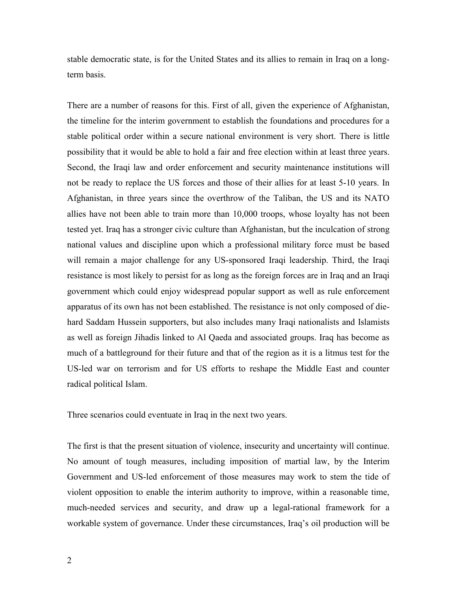stable democratic state, is for the United States and its allies to remain in Iraq on a longterm basis.

There are a number of reasons for this. First of all, given the experience of Afghanistan, the timeline for the interim government to establish the foundations and procedures for a stable political order within a secure national environment is very short. There is little possibility that it would be able to hold a fair and free election within at least three years. Second, the Iraqi law and order enforcement and security maintenance institutions will not be ready to replace the US forces and those of their allies for at least 5-10 years. In Afghanistan, in three years since the overthrow of the Taliban, the US and its NATO allies have not been able to train more than 10,000 troops, whose loyalty has not been tested yet. Iraq has a stronger civic culture than Afghanistan, but the inculcation of strong national values and discipline upon which a professional military force must be based will remain a major challenge for any US-sponsored Iraqi leadership. Third, the Iraqi resistance is most likely to persist for as long as the foreign forces are in Iraq and an Iraqi government which could enjoy widespread popular support as well as rule enforcement apparatus of its own has not been established. The resistance is not only composed of diehard Saddam Hussein supporters, but also includes many Iraqi nationalists and Islamists as well as foreign Jihadis linked to Al Qaeda and associated groups. Iraq has become as much of a battleground for their future and that of the region as it is a litmus test for the US-led war on terrorism and for US efforts to reshape the Middle East and counter radical political Islam.

Three scenarios could eventuate in Iraq in the next two years.

The first is that the present situation of violence, insecurity and uncertainty will continue. No amount of tough measures, including imposition of martial law, by the Interim Government and US-led enforcement of those measures may work to stem the tide of violent opposition to enable the interim authority to improve, within a reasonable time, much-needed services and security, and draw up a legal-rational framework for a workable system of governance. Under these circumstances, Iraq's oil production will be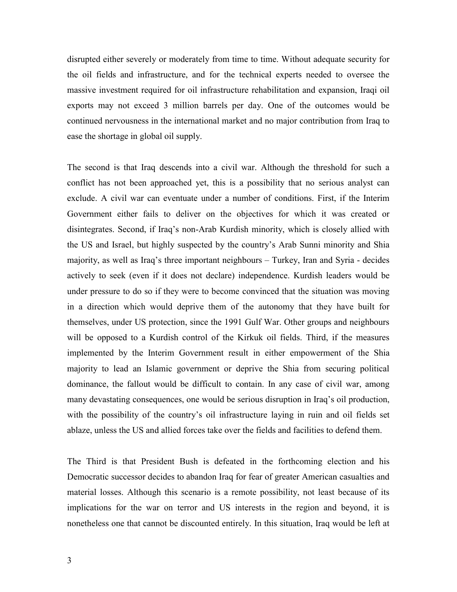disrupted either severely or moderately from time to time. Without adequate security for the oil fields and infrastructure, and for the technical experts needed to oversee the massive investment required for oil infrastructure rehabilitation and expansion, Iraqi oil exports may not exceed 3 million barrels per day. One of the outcomes would be continued nervousness in the international market and no major contribution from Iraq to ease the shortage in global oil supply.

The second is that Iraq descends into a civil war. Although the threshold for such a conflict has not been approached yet, this is a possibility that no serious analyst can exclude. A civil war can eventuate under a number of conditions. First, if the Interim Government either fails to deliver on the objectives for which it was created or disintegrates. Second, if Iraq's non-Arab Kurdish minority, which is closely allied with the US and Israel, but highly suspected by the country's Arab Sunni minority and Shia majority, as well as Iraq's three important neighbours – Turkey, Iran and Syria - decides actively to seek (even if it does not declare) independence. Kurdish leaders would be under pressure to do so if they were to become convinced that the situation was moving in a direction which would deprive them of the autonomy that they have built for themselves, under US protection, since the 1991 Gulf War. Other groups and neighbours will be opposed to a Kurdish control of the Kirkuk oil fields. Third, if the measures implemented by the Interim Government result in either empowerment of the Shia majority to lead an Islamic government or deprive the Shia from securing political dominance, the fallout would be difficult to contain. In any case of civil war, among many devastating consequences, one would be serious disruption in Iraq's oil production, with the possibility of the country's oil infrastructure laying in ruin and oil fields set ablaze, unless the US and allied forces take over the fields and facilities to defend them.

The Third is that President Bush is defeated in the forthcoming election and his Democratic successor decides to abandon Iraq for fear of greater American casualties and material losses. Although this scenario is a remote possibility, not least because of its implications for the war on terror and US interests in the region and beyond, it is nonetheless one that cannot be discounted entirely. In this situation, Iraq would be left at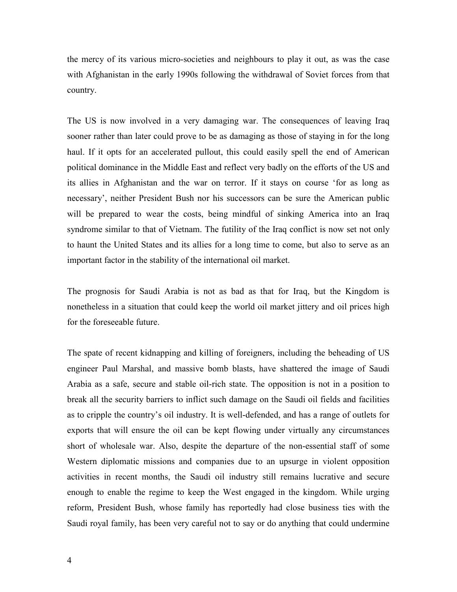the mercy of its various micro-societies and neighbours to play it out, as was the case with Afghanistan in the early 1990s following the withdrawal of Soviet forces from that country.

The US is now involved in a very damaging war. The consequences of leaving Iraq sooner rather than later could prove to be as damaging as those of staying in for the long haul. If it opts for an accelerated pullout, this could easily spell the end of American political dominance in the Middle East and reflect very badly on the efforts of the US and its allies in Afghanistan and the war on terror. If it stays on course 'for as long as necessary', neither President Bush nor his successors can be sure the American public will be prepared to wear the costs, being mindful of sinking America into an Iraq syndrome similar to that of Vietnam. The futility of the Iraq conflict is now set not only to haunt the United States and its allies for a long time to come, but also to serve as an important factor in the stability of the international oil market.

The prognosis for Saudi Arabia is not as bad as that for Iraq, but the Kingdom is nonetheless in a situation that could keep the world oil market jittery and oil prices high for the foreseeable future.

The spate of recent kidnapping and killing of foreigners, including the beheading of US engineer Paul Marshal, and massive bomb blasts, have shattered the image of Saudi Arabia as a safe, secure and stable oil-rich state. The opposition is not in a position to break all the security barriers to inflict such damage on the Saudi oil fields and facilities as to cripple the country's oil industry. It is well-defended, and has a range of outlets for exports that will ensure the oil can be kept flowing under virtually any circumstances short of wholesale war. Also, despite the departure of the non-essential staff of some Western diplomatic missions and companies due to an upsurge in violent opposition activities in recent months, the Saudi oil industry still remains lucrative and secure enough to enable the regime to keep the West engaged in the kingdom. While urging reform, President Bush, whose family has reportedly had close business ties with the Saudi royal family, has been very careful not to say or do anything that could undermine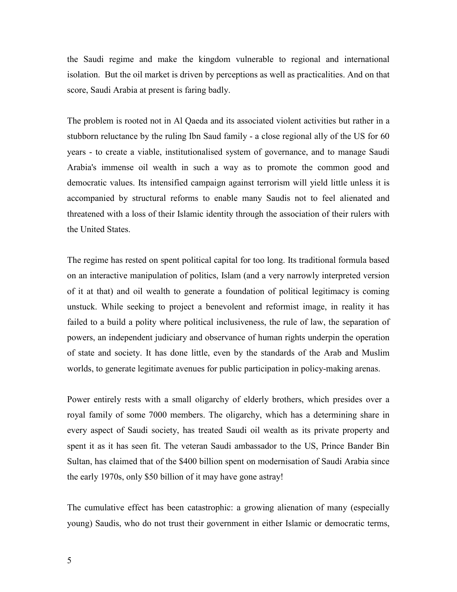the Saudi regime and make the kingdom vulnerable to regional and international isolation. But the oil market is driven by perceptions as well as practicalities. And on that score, Saudi Arabia at present is faring badly.

The problem is rooted not in Al Qaeda and its associated violent activities but rather in a stubborn reluctance by the ruling Ibn Saud family - a close regional ally of the US for 60 years - to create a viable, institutionalised system of governance, and to manage Saudi Arabia's immense oil wealth in such a way as to promote the common good and democratic values. Its intensified campaign against terrorism will yield little unless it is accompanied by structural reforms to enable many Saudis not to feel alienated and threatened with a loss of their Islamic identity through the association of their rulers with the United States.

The regime has rested on spent political capital for too long. Its traditional formula based on an interactive manipulation of politics, Islam (and a very narrowly interpreted version of it at that) and oil wealth to generate a foundation of political legitimacy is coming unstuck. While seeking to project a benevolent and reformist image, in reality it has failed to a build a polity where political inclusiveness, the rule of law, the separation of powers, an independent judiciary and observance of human rights underpin the operation of state and society. It has done little, even by the standards of the Arab and Muslim worlds, to generate legitimate avenues for public participation in policy-making arenas.

Power entirely rests with a small oligarchy of elderly brothers, which presides over a royal family of some 7000 members. The oligarchy, which has a determining share in every aspect of Saudi society, has treated Saudi oil wealth as its private property and spent it as it has seen fit. The veteran Saudi ambassador to the US, Prince Bander Bin Sultan, has claimed that of the \$400 billion spent on modernisation of Saudi Arabia since the early 1970s, only \$50 billion of it may have gone astray!

The cumulative effect has been catastrophic: a growing alienation of many (especially young) Saudis, who do not trust their government in either Islamic or democratic terms,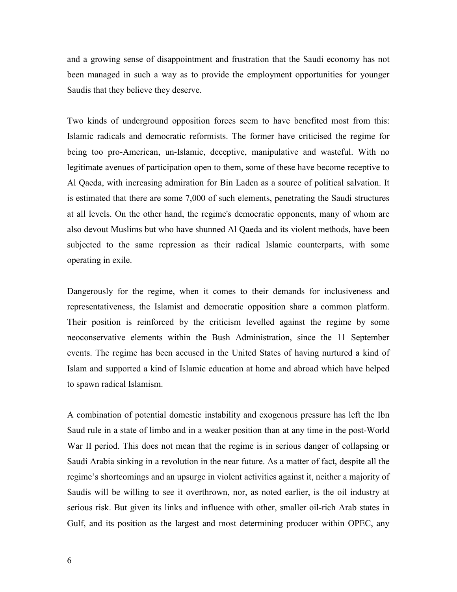and a growing sense of disappointment and frustration that the Saudi economy has not been managed in such a way as to provide the employment opportunities for younger Saudis that they believe they deserve.

Two kinds of underground opposition forces seem to have benefited most from this: Islamic radicals and democratic reformists. The former have criticised the regime for being too pro-American, un-Islamic, deceptive, manipulative and wasteful. With no legitimate avenues of participation open to them, some of these have become receptive to Al Qaeda, with increasing admiration for Bin Laden as a source of political salvation. It is estimated that there are some 7,000 of such elements, penetrating the Saudi structures at all levels. On the other hand, the regime's democratic opponents, many of whom are also devout Muslims but who have shunned Al Qaeda and its violent methods, have been subjected to the same repression as their radical Islamic counterparts, with some operating in exile.

Dangerously for the regime, when it comes to their demands for inclusiveness and representativeness, the Islamist and democratic opposition share a common platform. Their position is reinforced by the criticism levelled against the regime by some neoconservative elements within the Bush Administration, since the 11 September events. The regime has been accused in the United States of having nurtured a kind of Islam and supported a kind of Islamic education at home and abroad which have helped to spawn radical Islamism.

A combination of potential domestic instability and exogenous pressure has left the Ibn Saud rule in a state of limbo and in a weaker position than at any time in the post-World War II period. This does not mean that the regime is in serious danger of collapsing or Saudi Arabia sinking in a revolution in the near future. As a matter of fact, despite all the regime's shortcomings and an upsurge in violent activities against it, neither a majority of Saudis will be willing to see it overthrown, nor, as noted earlier, is the oil industry at serious risk. But given its links and influence with other, smaller oil-rich Arab states in Gulf, and its position as the largest and most determining producer within OPEC, any